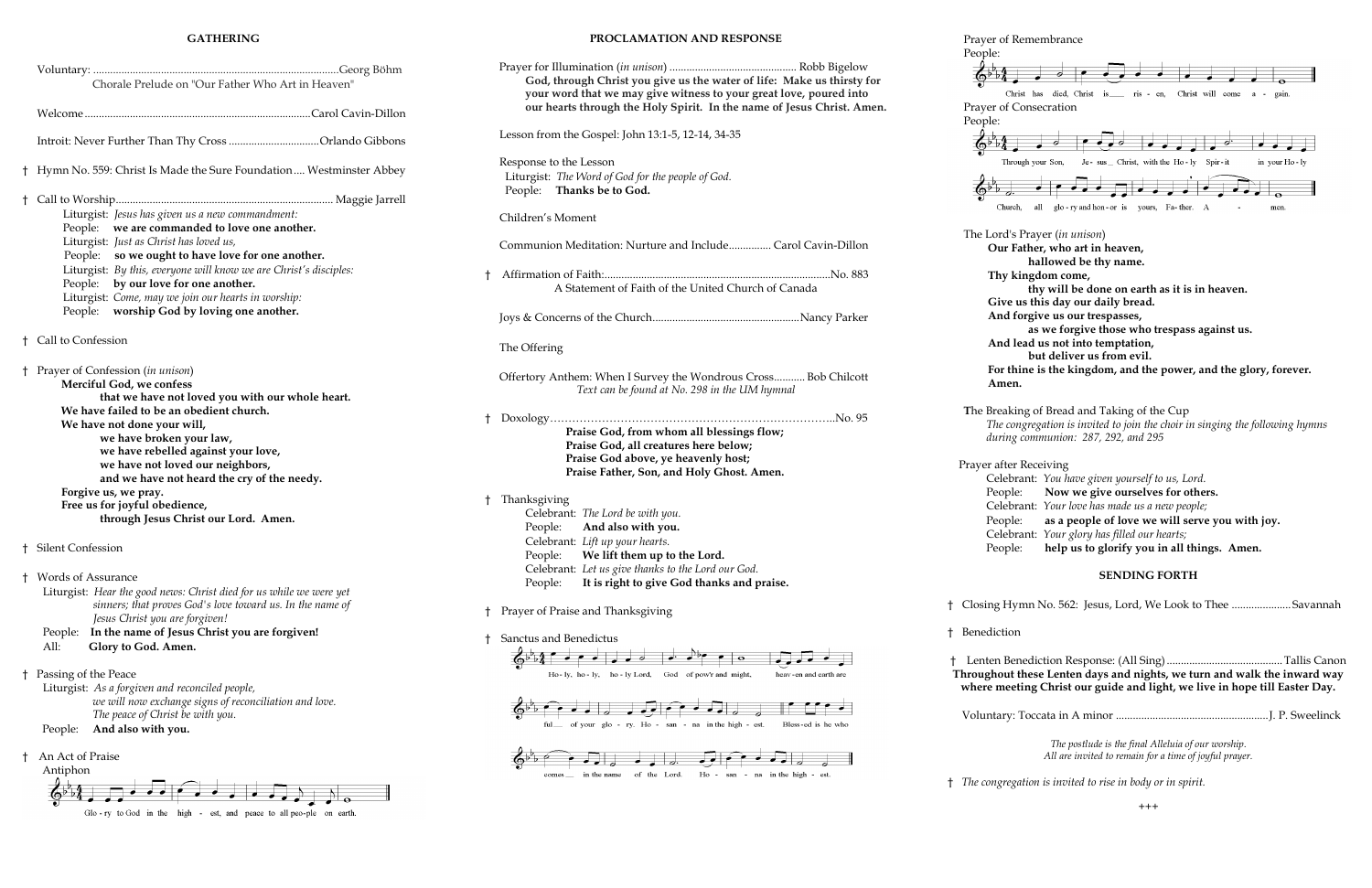#### **GATHERING**

|    | Chorale Prelude on "Our Father Who Art in Heaven"                                                                                                                                                                                                                                                                                                                                                                                                  |  |  |
|----|----------------------------------------------------------------------------------------------------------------------------------------------------------------------------------------------------------------------------------------------------------------------------------------------------------------------------------------------------------------------------------------------------------------------------------------------------|--|--|
|    |                                                                                                                                                                                                                                                                                                                                                                                                                                                    |  |  |
|    | Introit: Never Further Than Thy Cross Orlando Gibbons                                                                                                                                                                                                                                                                                                                                                                                              |  |  |
| Ť  | Hymn No. 559: Christ Is Made the Sure Foundation Westminster Abbey                                                                                                                                                                                                                                                                                                                                                                                 |  |  |
| Ť  | Liturgist: Jesus has given us a new commandment:<br>we are commanded to love one another.<br>People:<br>Liturgist: Just as Christ has loved us,<br>People: so we ought to have love for one another.<br>Liturgist: By this, everyone will know we are Christ's disciples:<br>People: by our love for one another.<br>Liturgist: Come, may we join our hearts in worship:<br>worship God by loving one another.<br>People:                          |  |  |
| t. | Call to Confession                                                                                                                                                                                                                                                                                                                                                                                                                                 |  |  |
| ŧ  | Prayer of Confession (in unison)<br>Merciful God, we confess<br>that we have not loved you with our whole heart.<br>We have failed to be an obedient church.<br>We have not done your will,<br>we have broken your law,<br>we have rebelled against your love,<br>we have not loved our neighbors,<br>and we have not heard the cry of the needy.<br>Forgive us, we pray.<br>Free us for joyful obedience,<br>through Jesus Christ our Lord. Amen. |  |  |
|    | † Silent Confession                                                                                                                                                                                                                                                                                                                                                                                                                                |  |  |
|    | <b>Words of Assurance</b><br>Liturgist: Hear the good news: Christ died for us while we were yet<br>sinners; that proves God's love toward us. In the name of<br>Jesus Christ you are forgiven!<br>In the name of Jesus Christ you are forgiven!<br>People:<br>All:<br>Glory to God. Amen.                                                                                                                                                         |  |  |
| t  | Passing of the Peace<br>Liturgist: As a forgiven and reconciled people,<br>we will now exchange signs of reconciliation and love.<br>The peace of Christ be with you.<br>And also with you.<br>People:                                                                                                                                                                                                                                             |  |  |
| t  | An Act of Praise<br>Antiphon                                                                                                                                                                                                                                                                                                                                                                                                                       |  |  |

Glo-ry to God in the high - est, and peace to all peo-ple on earth.

|   | PROCLAMATION AND RESPONSE                                                                                                                                                                                                                                                   |
|---|-----------------------------------------------------------------------------------------------------------------------------------------------------------------------------------------------------------------------------------------------------------------------------|
|   | God, through Christ you give us the water of life: Make us thirsty for<br>your word that we may give witness to your great love, poured into<br>our hearts through the Holy Spirit. In the name of Jesus Christ. Amen.                                                      |
|   | Lesson from the Gospel: John 13:1-5, 12-14, 34-35                                                                                                                                                                                                                           |
|   | Response to the Lesson<br>Liturgist: The Word of God for the people of God.<br>People: Thanks be to God.                                                                                                                                                                    |
|   | Children's Moment                                                                                                                                                                                                                                                           |
|   | Communion Meditation: Nurture and Include Carol Cavin-Dillon                                                                                                                                                                                                                |
| t | A Statement of Faith of the United Church of Canada                                                                                                                                                                                                                         |
|   |                                                                                                                                                                                                                                                                             |
|   | The Offering                                                                                                                                                                                                                                                                |
|   | Offertory Anthem: When I Survey the Wondrous Cross Bob Chilcott<br>Text can be found at No. 298 in the UM hymnal                                                                                                                                                            |
|   | Praise God, from whom all blessings flow;<br>Praise God, all creatures here below;<br>Praise God above, ye heavenly host;<br>Praise Father, Son, and Holy Ghost. Amen.                                                                                                      |
| t | Thanksgiving<br>Celebrant: The Lord be with you.<br>People: And also with you.<br>Celebrant: Lift up your hearts.<br>People:<br>We lift them up to the Lord.<br>Celebrant: Let us give thanks to the Lord our God.<br>It is right to give God thanks and praise.<br>People: |
| t | Prayer of Praise and Thanksgiving                                                                                                                                                                                                                                           |
| t | Sanctus and Benedictus                                                                                                                                                                                                                                                      |
|   | Ho-ly, ho-ly, ho-ly Lord. God of pow'r and might. heav-en and earth are                                                                                                                                                                                                     |





#### Prayer of Remembrance

People:

(∂⊳"

People:

 $\Phi^{\flat}$ 

 $\Phi^{\flat}$ 



**T**he Breaking of Bread and Taking of the Cup *The congregation is invited to join the choir in singing the following hymns during communion: 287, 292, and 295*

Prayer after Receiving

| Celebrant: You have given yourself to us, Lord.         |
|---------------------------------------------------------|
| People: Now we give ourselves for others.               |
| Celebrant: Your love has made us a new people;          |
| People: as a people of love we will serve you with joy. |
| Celebrant: Your glory has filled our hearts;            |
| People: help us to glorify you in all things. Amen.     |

### **SENDING FORTH**

† Closing Hymn No. 562: Jesus, Lord, We Look to Thee ..................... Savannah

† Benediction

† Lenten Benediction Response: (All Sing).........................................Tallis Canon **Throughout these Lenten days and nights, we turn and walk the inward way where meeting Christ our guide and light, we live in hope till Easter Day.**

Voluntary: Toccata in A minor ......................................................J. P. Sweelinck

*The postlude is the final Alleluia of our worship. All are invited to remain for a time of joyful prayer.* 

† *The congregation is invited to rise in body or in spirit.*